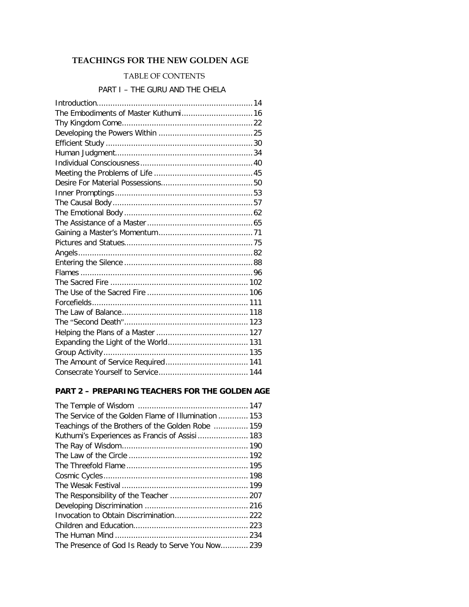## **TEACHINGS FOR THE NEW GOLDEN AGE**

## TABLE OF CONTENTS

## PART I – THE GURU AND THE CHELA

| The Embodiments of Master Kuthumi 16 |  |
|--------------------------------------|--|
|                                      |  |
|                                      |  |
|                                      |  |
|                                      |  |
|                                      |  |
|                                      |  |
|                                      |  |
|                                      |  |
|                                      |  |
|                                      |  |
|                                      |  |
|                                      |  |
|                                      |  |
|                                      |  |
|                                      |  |
|                                      |  |
|                                      |  |
|                                      |  |
|                                      |  |
|                                      |  |
|                                      |  |
|                                      |  |
|                                      |  |
|                                      |  |
|                                      |  |
|                                      |  |

## **PART 2 – PREPARING TEACHERS FOR THE GOLDEN AGE**

| The Service of the Golden Flame of Illumination  153 |  |
|------------------------------------------------------|--|
| Teachings of the Brothers of the Golden Robe  159    |  |
| Kuthumi's Experiences as Francis of Assisi  183      |  |
|                                                      |  |
|                                                      |  |
|                                                      |  |
|                                                      |  |
|                                                      |  |
|                                                      |  |
|                                                      |  |
|                                                      |  |
|                                                      |  |
|                                                      |  |
| The Presence of God Is Ready to Serve You Now 239    |  |